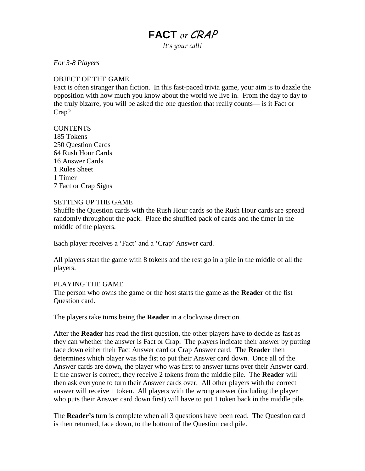# **FACT** *or* CRAP

*It's your call!*

*For 3-8 Players*

#### OBJECT OF THE GAME

Fact is often stranger than fiction. In this fast-paced trivia game, your aim is to dazzle the opposition with how much you know about the world we live in. From the day to day to the truly bizarre, you will be asked the one question that really counts— is it Fact or Crap?

### **CONTENTS**

185 Tokens 250 Question Cards 64 Rush Hour Cards 16 Answer Cards 1 Rules Sheet 1 Timer 7 Fact or Crap Signs

#### SETTING UP THE GAME

Shuffle the Question cards with the Rush Hour cards so the Rush Hour cards are spread randomly throughout the pack. Place the shuffled pack of cards and the timer in the middle of the players.

Each player receives a 'Fact' and a 'Crap' Answer card.

All players start the game with 8 tokens and the rest go in a pile in the middle of all the players.

## PLAYING THE GAME

The person who owns the game or the host starts the game as the **Reader** of the fist Question card.

The players take turns being the **Reader** in a clockwise direction.

After the **Reader** has read the first question, the other players have to decide as fast as they can whether the answer is Fact or Crap. The players indicate their answer by putting face down either their Fact Answer card or Crap Answer card. The **Reader** then determines which player was the fist to put their Answer card down. Once all of the Answer cards are down, the player who was first to answer turns over their Answer card. If the answer is correct, they receive 2 tokens from the middle pile. The **Reader** will then ask everyone to turn their Answer cards over. All other players with the correct answer will receive 1 token. All players with the wrong answer (including the player who puts their Answer card down first) will have to put 1 token back in the middle pile.

The **Reader's** turn is complete when all 3 questions have been read. The Question card is then returned, face down, to the bottom of the Question card pile.